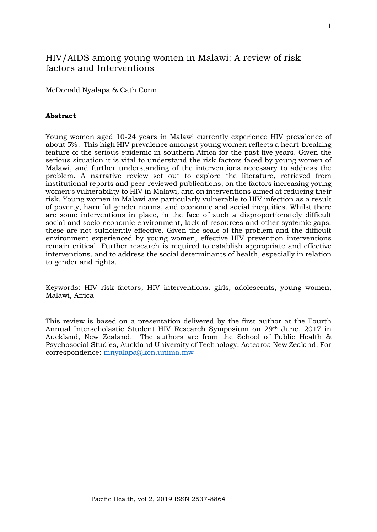# HIV/AIDS among young women in Malawi: A review of risk factors and Interventions

McDonald Nyalapa & Cath Conn

# **Abstract**

Young women aged 10-24 years in Malawi currently experience HIV prevalence of about 5%. This high HIV prevalence amongst young women reflects a heart-breaking feature of the serious epidemic in southern Africa for the past five years. Given the serious situation it is vital to understand the risk factors faced by young women of Malawi, and further understanding of the interventions necessary to address the problem. A narrative review set out to explore the literature, retrieved from institutional reports and peer-reviewed publications, on the factors increasing young women's vulnerability to HIV in Malawi, and on interventions aimed at reducing their risk. Young women in Malawi are particularly vulnerable to HIV infection as a result of poverty, harmful gender norms, and economic and social inequities. Whilst there are some interventions in place, in the face of such a disproportionately difficult social and socio-economic environment, lack of resources and other systemic gaps, these are not sufficiently effective. Given the scale of the problem and the difficult environment experienced by young women, effective HIV prevention interventions remain critical. Further research is required to establish appropriate and effective interventions, and to address the social determinants of health, especially in relation to gender and rights.

Keywords: HIV risk factors, HIV interventions, girls, adolescents, young women, Malawi, Africa

This review is based on a presentation delivered by the first author at the Fourth Annual Interscholastic Student HIV Research Symposium on 29th June, 2017 in Auckland, New Zealand. The authors are from the School of Public Health & Psychosocial Studies, Auckland University of Technology, Aotearoa New Zealand. For correspondence: [mnyalapa@kcn.unima.mw](mailto:mnyalapa@kcn.unima.mw)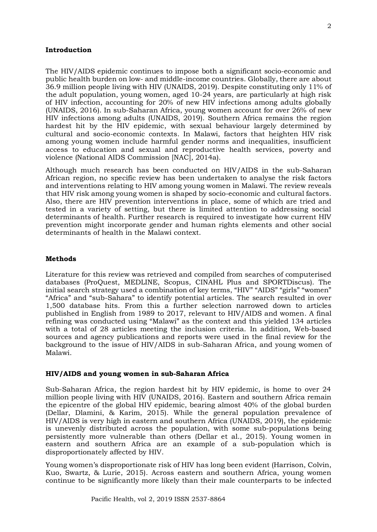#### **Introduction**

The HIV/AIDS epidemic continues to impose both a significant socio-economic and public health burden on low- and middle-income countries. Globally, there are about 36.9 million people living with HIV (UNAIDS, 2019). Despite constituting only 11% of the adult population, young women, aged 10-24 years, are particularly at high risk of HIV infection, accounting for 20% of new HIV infections among adults globally (UNAIDS, 2016). In sub-Saharan Africa, young women account for over 26% of new HIV infections among adults (UNAIDS, 2019). Southern Africa remains the region hardest hit by the HIV epidemic, with sexual behaviour largely determined by cultural and socio-economic contexts. In Malawi, factors that heighten HIV risk among young women include harmful gender norms and inequalities, insufficient access to education and sexual and reproductive health services, poverty and violence (National AIDS Commission [NAC], 2014a).

Although much research has been conducted on HIV/AIDS in the sub-Saharan African region, no specific review has been undertaken to analyse the risk factors and interventions relating to HIV among young women in Malawi. The review reveals that HIV risk among young women is shaped by socio-economic and cultural factors. Also, there are HIV prevention interventions in place, some of which are tried and tested in a variety of setting, but there is limited attention to addressing social determinants of health. Further research is required to investigate how current HIV prevention might incorporate gender and human rights elements and other social determinants of health in the Malawi context.

### **Methods**

Literature for this review was retrieved and compiled from searches of computerised databases (ProQuest, MEDLINE, Scopus, CINAHL Plus and SPORTDiscus). The initial search strategy used a combination of key terms, "HIV" "AIDS" "girls" "women" "Africa" and "sub-Sahara" to identify potential articles. The search resulted in over 1,500 database hits. From this a further selection narrowed down to articles published in English from 1989 to 2017, relevant to HIV/AIDS and women. A final refining was conducted using "Malawi" as the context and this yielded 134 articles with a total of 28 articles meeting the inclusion criteria. In addition, Web-based sources and agency publications and reports were used in the final review for the background to the issue of HIV/AIDS in sub-Saharan Africa, and young women of Malawi.

#### **HIV/AIDS and young women in sub-Saharan Africa**

Sub-Saharan Africa, the region hardest hit by HIV epidemic, is home to over 24 million people living with HIV (UNAIDS, 2016). Eastern and southern Africa remain the epicentre of the global HIV epidemic, bearing almost 40% of the global burden (Dellar, Dlamini, & Karim, 2015). While the general population prevalence of HIV/AIDS is very high in eastern and southern Africa (UNAIDS, 2019), the epidemic is unevenly distributed across the population, with some sub-populations being persistently more vulnerable than others (Dellar et al., 2015). Young women in eastern and southern Africa are an example of a sub-population which is disproportionately affected by HIV.

Young women's disproportionate risk of HIV has long been evident (Harrison, Colvin, Kuo, Swartz, & Lurie, 2015). Across eastern and southern Africa, young women continue to be significantly more likely than their male counterparts to be infected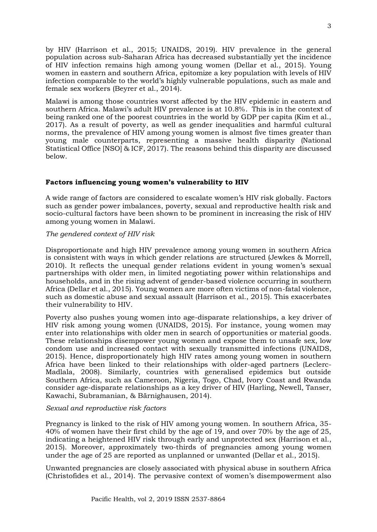by HIV (Harrison et al., 2015; UNAIDS, 2019). HIV prevalence in the general population across sub-Saharan Africa has decreased substantially yet the incidence of HIV infection remains high among young women (Dellar et al., 2015). Young women in eastern and southern Africa, epitomize a key population with levels of HIV infection comparable to the world's highly vulnerable populations, such as male and female sex workers (Beyrer et al., 2014).

Malawi is among those countries worst affected by the HIV epidemic in eastern and southern Africa. Malawi's adult HIV prevalence is at 10.8%. This is in the context of being ranked one of the poorest countries in the world by GDP per capita (Kim et al., 2017). As a result of poverty, as well as gender inequalities and harmful cultural norms, the prevalence of HIV among young women is almost five times greater than young male counterparts, representing a massive health disparity (National Statistical Office [NSO] & ICF, 2017). The reasons behind this disparity are discussed below.

# **Factors influencing young women's vulnerability to HIV**

A wide range of factors are considered to escalate women's HIV risk globally. Factors such as gender power imbalances, poverty, sexual and reproductive health risk and socio-cultural factors have been shown to be prominent in increasing the risk of HIV among young women in Malawi.

# *The gendered context of HIV risk*

Disproportionate and high HIV prevalence among young women in southern Africa is consistent with ways in which gender relations are structured (Jewkes & Morrell, 2010). It reflects the unequal gender relations evident in young women's sexual partnerships with older men, in limited negotiating power within relationships and households, and in the rising advent of gender-based violence occurring in southern Africa (Dellar et al., 2015). Young women are more often victims of non-fatal violence, such as domestic abuse and sexual assault (Harrison et al., 2015). This exacerbates their vulnerability to HIV.

Poverty also pushes young women into age-disparate relationships, a key driver of HIV risk among young women (UNAIDS, 2015). For instance, young women may enter into relationships with older men in search of opportunities or material goods. These relationships disempower young women and expose them to unsafe sex, low condom use and increased contact with sexually transmitted infections (UNAIDS, 2015). Hence, disproportionately high HIV rates among young women in southern Africa have been linked to their relationships with older-aged partners (Leclerc-Madlala, 2008). Similarly, countries with generalised epidemics but outside Southern Africa, such as Cameroon, Nigeria, Togo, Chad, Ivory Coast and Rwanda consider age-disparate relationships as a key driver of HIV (Harling, Newell, Tanser, Kawachi, Subramanian, & Bärnighausen, 2014).

# *Sexual and reproductive risk factors*

Pregnancy is linked to the risk of HIV among young women. In southern Africa, 35- 40% of women have their first child by the age of 19, and over 70% by the age of 25, indicating a heightened HIV risk through early and unprotected sex (Harrison et al., 2015). Moreover, approximately two-thirds of pregnancies among young women under the age of 25 are reported as unplanned or unwanted (Dellar et al., 2015).

Unwanted pregnancies are closely associated with physical abuse in southern Africa (Christofides et al., 2014). The pervasive context of women's disempowerment also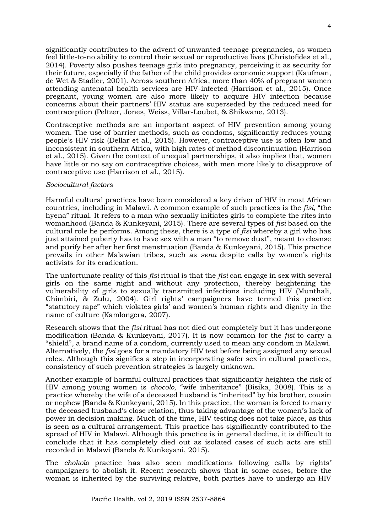significantly contributes to the advent of unwanted teenage pregnancies, as women feel little-to-no ability to control their sexual or reproductive lives (Christofides et al., 2014). Poverty also pushes teenage girls into pregnancy, perceiving it as security for their future, especially if the father of the child provides economic support (Kaufman, de Wet & Stadler, 2001). Across southern Africa, more than 40% of pregnant women attending antenatal health services are HIV-infected (Harrison et al., 2015). Once pregnant, young women are also more likely to acquire HIV infection because concerns about their partners' HIV status are superseded by the reduced need for contraception (Peltzer, Jones, Weiss, Villar-Loubet, & Shikwane, 2013).

Contraceptive methods are an important aspect of HIV prevention among young women. The use of barrier methods, such as condoms, significantly reduces young people's HIV risk (Dellar et al., 2015). However, contraceptive use is often low and inconsistent in southern Africa, with high rates of method discontinuation (Harrison et al., 2015). Given the context of unequal partnerships, it also implies that, women have little or no say on contraceptive choices, with men more likely to disapprove of contraceptive use (Harrison et al., 2015).

# *Sociocultural factors*

Harmful cultural practices have been considered a key driver of HIV in most African countries, including in Malawi. A common example of such practices is the *fisi,* "the hyena" ritual. It refers to a man who sexually initiates girls to complete the rites into womanhood (Banda & Kunkeyani, 2015). There are several types of *fisi* based on the cultural role he performs. Among these, there is a type of *fisi* whereby a girl who has just attained puberty has to have sex with a man "to remove dust", meant to cleanse and purify her after her first menstruation (Banda & Kunkeyani, 2015). This practice prevails in other Malawian tribes, such as *sena* despite calls by women's rights activists for its eradication.

The unfortunate reality of this *fisi* ritual is that the *fisi* can engage in sex with several girls on the same night and without any protection, thereby heightening the vulnerability of girls to sexually transmitted infections including HIV (Munthali, Chimbiri, & Zulu, 2004). Girl rights' campaigners have termed this practice "statutory rape" which violates girls' and women's human rights and dignity in the name of culture (Kamlongera, 2007).

Research shows that the *fisi* ritual has not died out completely but it has undergone modification (Banda & Kunkeyani, 2017). It is now common for the *fisi* to carry a "shield", a brand name of a condom, currently used to mean any condom in Malawi. Alternatively, the *fisi* goes for a mandatory HIV test before being assigned any sexual roles. Although this signifies a step in incorporating safer sex in cultural practices, consistency of such prevention strategies is largely unknown.

Another example of harmful cultural practices that significantly heighten the risk of HIV among young women is *chocolo,* "wife inheritance" (Bisika, 2008). This is a practice whereby the wife of a deceased husband is "inherited" by his brother, cousin or nephew (Banda & Kunkeyani, 2015). In this practice, the woman is forced to marry the deceased husband's close relation, thus taking advantage of the women's lack of power in decision making. Much of the time, HIV testing does not take place, as this is seen as a cultural arrangement. This practice has significantly contributed to the spread of HIV in Malawi. Although this practice is in general decline, it is difficult to conclude that it has completely died out as isolated cases of such acts are still recorded in Malawi (Banda & Kunkeyani, 2015).

The *chokolo* practice has also seen modifications following calls by rights' campaigners to abolish it. Recent research shows that in some cases, before the woman is inherited by the surviving relative, both parties have to undergo an HIV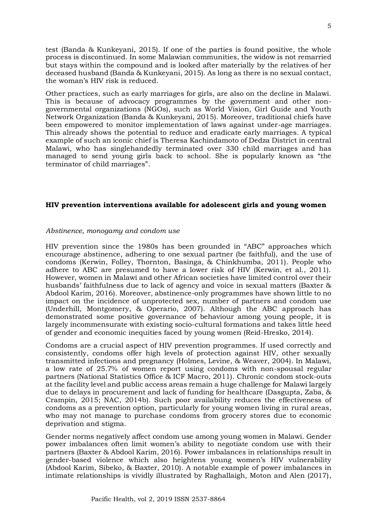test (Banda & Kunkeyani, 2015). If one of the parties is found positive, the whole process is discontinued. In some Malawian communities, the widow is not remarried but stays within the compound and is looked after materially by the relatives of her deceased husband (Banda & Kunkeyani, 2015). As long as there is no sexual contact, the woman's HIV risk is reduced.

Other practices, such as early marriages for girls, are also on the decline in Malawi. This is because of advocacy programmes by the government and other nongovernmental organizations (NGOs), such as World Vision, Girl Guide and Youth Network Organization (Banda & Kunkeyani, 2015). Moreover, traditional chiefs have been empowered to monitor implementation of laws against under-age marriages. This already shows the potential to reduce and eradicate early marriages. A typical example of such an iconic chief is Theresa Kachindamoto of Dedza District in central Malawi, who has singlehandedly terminated over 330 child marriages and has managed to send young girls back to school. She is popularly known as "the terminator of child marriages".

# **HIV prevention interventions available for adolescent girls and young women**

#### *Abstinence, monogamy and condom use*

HIV prevention since the 1980s has been grounded in "ABC" approaches which encourage abstinence, adhering to one sexual partner (be faithful), and the use of condoms (Kerwin, Folley, Thornton, Basinga, & Chinkhumba, 2011). People who adhere to ABC are presumed to have a lower risk of HIV (Kerwin, et al., 2011). However, women in Malawi and other African societies have limited control over their husbands' faithfulness due to lack of agency and voice in sexual matters (Baxter & Abdool Karim, 2016). Moreover, abstinence-only programmes have shown little to no impact on the incidence of unprotected sex, number of partners and condom use (Underhill, Montgomery, & Operario, 2007). Although the ABC approach has demonstrated some positive governance of behaviour among young people, it is largely incommensurate with existing socio-cultural formations and takes little heed of gender and economic inequities faced by young women (Reid-Hresko, 2014).

Condoms are a crucial aspect of HIV prevention programmes. If used correctly and consistently, condoms offer high levels of protection against HIV, other sexually transmitted infections and pregnancy (Holmes, Levine, & Weaver, 2004). In Malawi, a low rate of 25.7% of women report using condoms with non-spousal regular partners (National Statistics Office & ICF Macro, 2011). Chronic condom stock-outs at the facility level and public access areas remain a huge challenge for Malawi largely due to delays in procurement and lack of funding for healthcare (Dasgupta, Zaba, & Crampin, 2015; NAC, 2014b). Such poor availability reduces the effectiveness of condoms as a prevention option, particularly for young women living in rural areas, who may not manage to purchase condoms from grocery stores due to economic deprivation and stigma.

Gender norms negatively affect condom use among young women in Malawi. Gender power imbalances often limit women's ability to negotiate condom use with their partners (Baxter & Abdool Karim, 2016). Power imbalances in relationships result in gender-based violence which also heightens young women's HIV vulnerability (Abdool Karim, Sibeko, & Baxter, 2010). A notable example of power imbalances in intimate relationships is vividly illustrated by Raghallaigh, Moton and Alen (2017),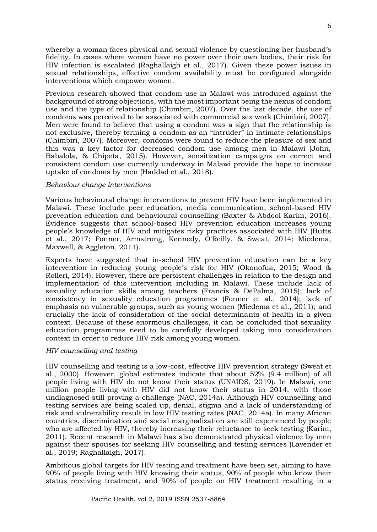whereby a woman faces physical and sexual violence by questioning her husband's fidelity. In cases where women have no power over their own bodies, their risk for HIV infection is escalated (Raghallaigh et al., 2017). Given these power issues in sexual relationships, effective condom availability must be configured alongside interventions which empower women.

Previous research showed that condom use in Malawi was introduced against the background of strong objections, with the most important being the nexus of condom use and the type of relationship (Chimbiri, 2007). Over the last decade, the use of condoms was perceived to be associated with commercial sex work (Chimbiri, 2007). Men were found to believe that using a condom was a sign that the relationship is not exclusive, thereby terming a condom as an "intruder" in intimate relationships (Chimbiri, 2007). Moreover, condoms were found to reduce the pleasure of sex and this was a key factor for decreased condom use among men in Malawi (John, Babalola, & Chipeta, 2015). However, sensitization campaigns on correct and consistent condom use currently underway in Malawi provide the hope to increase uptake of condoms by men (Haddad et al., 2018).

#### *Behaviour change interventions*

Various behavioural change interventions to prevent HIV have been implemented in Malawi. These include peer education, media communication, school-based HIV prevention education and behavioural counselling (Baxter & Abdool Karim, 2016). Evidence suggests that school-based HIV prevention education increases young people's knowledge of HIV and mitigates risky practices associated with HIV (Butts et al., 2017; Fonner, Armstrong, Kennedy, O'Reilly, & Sweat, 2014; Miedema, Maxwell, & Aggleton, 2011).

Experts have suggested that in-school HIV prevention education can be a key intervention in reducing young people's risk for HIV (Okonofua, 2015; Wood & Rolleri, 2014). However, there are persistent challenges in relation to the design and implementation of this intervention including in Malawi. These include lack of sexuality education skills among teachers (Francis & DePalma, 2015); lack of consistency in sexuality education programmes (Fonner et al., 2014); lack of emphasis on vulnerable groups, such as young women (Miedema et al., 2011); and crucially the lack of consideration of the social determinants of health in a given context. Because of these enormous challenges, it can be concluded that sexuality education programmes need to be carefully developed taking into consideration context in order to reduce HIV risk among young women.

# *HIV counselling and testing*

HIV counselling and testing is a low-cost, effective HIV prevention strategy (Sweat et al., 2000). However, global estimates indicate that about 52% (9.4 million) of all people living with HIV do not know their status (UNAIDS, 2019). In Malawi, one million people living with HIV did not know their status in 2014, with those undiagnosed still proving a challenge (NAC, 2014a). Although HIV counselling and testing services are being scaled up, denial, stigma and a lack of understanding of risk and vulnerability result in low HIV testing rates (NAC, 2014a). In many African countries, discrimination and social marginalization are still experienced by people who are affected by HIV, thereby increasing their reluctance to seek testing (Karim, 2011). Recent research in Malawi has also demonstrated physical violence by men against their spouses for seeking HIV counselling and testing services (Lavender et al., 2019; Raghallaigh, 2017).

Ambitious global targets for HIV testing and treatment have been set, aiming to have 90% of people living with HIV knowing their status, 90% of people who know their status receiving treatment, and 90% of people on HIV treatment resulting in a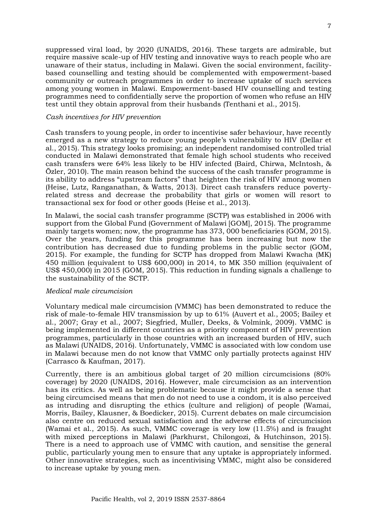suppressed viral load, by 2020 (UNAIDS, 2016). These targets are admirable, but require massive scale-up of HIV testing and innovative ways to reach people who are unaware of their status, including in Malawi. Given the social environment, facilitybased counselling and testing should be complemented with empowerment-based community or outreach programmes in order to increase uptake of such services among young women in Malawi. Empowerment-based HIV counselling and testing programmes need to confidentially serve the proportion of women who refuse an HIV test until they obtain approval from their husbands (Tenthani et al., 2015).

#### *Cash incentives for HIV prevention*

Cash transfers to young people, in order to incentivise safer behaviour, have recently emerged as a new strategy to reduce young people's vulnerability to HIV (Dellar et al., 2015). This strategy looks promising; an independent randomised controlled trial conducted in Malawi demonstrated that female high school students who received cash transfers were 64% less likely to be HIV infected (Baird, Chirwa, McIntosh, & Özler, 2010). The main reason behind the success of the cash transfer programme is its ability to address "upstream factors" that heighten the risk of HIV among women (Heise, Lutz, Ranganathan, & Watts, 2013). Direct cash transfers reduce povertyrelated stress and decrease the probability that girls or women will resort to transactional sex for food or other goods (Heise et al., 2013).

In Malawi, the social cash transfer programme (SCTP) was established in 2006 with support from the Global Fund (Government of Malawi [GOM], 2015). The programme mainly targets women; now, the programme has 373, 000 beneficiaries (GOM, 2015). Over the years, funding for this programme has been increasing but now the contribution has decreased due to funding problems in the public sector (GOM, 2015). For example, the funding for SCTP has dropped from Malawi Kwacha (MK) 450 million (equivalent to US\$ 600,000) in 2014, to MK 350 million (equivalent of US\$ 450,000) in 2015 (GOM, 2015). This reduction in funding signals a challenge to the sustainability of the SCTP.

#### *Medical male circumcision*

Voluntary medical male circumcision (VMMC) has been demonstrated to reduce the risk of male-to-female HIV transmission by up to 61% (Auvert et al., 2005; Bailey et al., 2007; Gray et al., 2007; Siegfried, Muller, Deeks, & Volmink, 2009). VMMC is being implemented in different countries as a priority component of HIV prevention programmes, particularly in those countries with an increased burden of HIV, such as Malawi (UNAIDS, 2016). Unfortunately, VMMC is associated with low condom use in Malawi because men do not know that VMMC only partially protects against HIV (Carrasco & Kaufman, 2017).

Currently, there is an ambitious global target of 20 million circumcisions (80% coverage) by 2020 (UNAIDS, 2016). However, male circumcision as an intervention has its critics. As well as being problematic because it might provide a sense that being circumcised means that men do not need to use a condom, it is also perceived as intruding and disrupting the ethics (culture and religion) of people (Wamai, Morris, Bailey, Klausner, & Boedicker, 2015). Current debates on male circumcision also centre on reduced sexual satisfaction and the adverse effects of circumcision (Wamai et al., 2015). As such, VMMC coverage is very low (11.5%) and is fraught with mixed perceptions in Malawi (Parkhurst, Chilongozi, & Hutchinson, 2015). There is a need to approach use of VMMC with caution, and sensitise the general public, particularly young men to ensure that any uptake is appropriately informed. Other innovative strategies, such as incentivising VMMC, might also be considered to increase uptake by young men.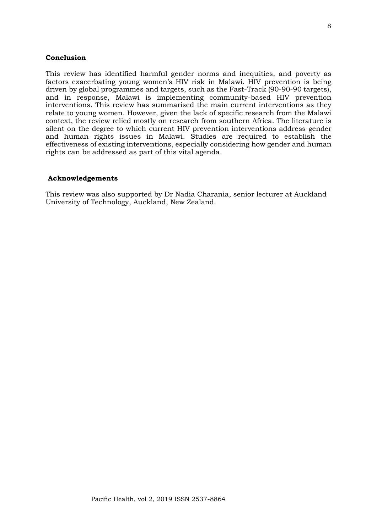# **Conclusion**

This review has identified harmful gender norms and inequities, and poverty as factors exacerbating young women's HIV risk in Malawi. HIV prevention is being driven by global programmes and targets, such as the Fast-Track (90-90-90 targets), and in response, Malawi is implementing community-based HIV prevention interventions. This review has summarised the main current interventions as they relate to young women. However, given the lack of specific research from the Malawi context, the review relied mostly on research from southern Africa. The literature is silent on the degree to which current HIV prevention interventions address gender and human rights issues in Malawi. Studies are required to establish the effectiveness of existing interventions, especially considering how gender and human rights can be addressed as part of this vital agenda.

#### **Acknowledgements**

This review was also supported by Dr Nadia Charania, senior lecturer at Auckland University of Technology, Auckland, New Zealand.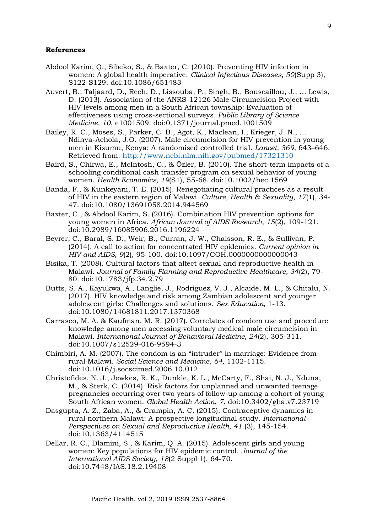#### **References**

- Abdool Karim, Q., Sibeko, S., & Baxter, C. (2010). Preventing HIV infection in women: A global health imperative. *Clinical Infectious Diseases, 50*(Supp 3), S122-S129. doi:10.1086/651483
- Auvert, B., Taljaard, D., Rech, D., Lissouba, P., Singh, B., Bouscaillou, J., … Lewis, D. (2013). Association of the ANRS-12126 Male Circumcision Project with HIV levels among men in a South African township: Evaluation of effectiveness using cross-sectional surveys*. Public Library of Science Medicine, 10*, e1001509. doi:0.1371/journal.pmed.1001509
- Bailey, R. C., Moses, S., Parker, C. B., Agot, K., Maclean, I., Krieger, J. N., … Ndinya-Achola, J.O. (2007). Male circumcision for HIV prevention in young men in Kisumu, Kenya: A randomised controlled trial. *Lancet, 369*, 643–646. Retrieved from:<http://www.ncbi.nlm.nih.gov/pubmed/17321310>
- Baird, S., Chirwa, E., McIntosh, C., & Özler, B. (2010). The short-term impacts of a schooling conditional cash transfer program on sexual behavior of young women. *Health Economics, 19*(S1), 55-68. doi:10.1002/hec.1569
- Banda, F., & Kunkeyani, T. E. (2015). Renegotiating cultural practices as a result of HIV in the eastern region of Malawi. *Culture, Health & Sexuality, 17*(1), 34- 47. doi:10.1080/13691058.2014.944569
- Baxter, C., & Abdool Karim, S. (2016). Combination HIV prevention options for young women in Africa. *African Journal of AIDS Research, 15*(2), 109-121. doi:10.2989/16085906.2016.1196224
- Beyrer, C., Baral, S. D., Weir, B., Curran, J. W., Chaisson, R. E., & Sullivan, P. (2014). A call to action for concentrated HIV epidemics. *Current opinion in HIV and AIDS, 9*(2), 95-100. doi:10.1097/COH.0000000000000043
- Bisika, T. (2008). Cultural factors that affect sexual and reproductive health in Malawi. *Journal of Family Planning and Reproductive Healthcare, 34*(2), 79- 80. doi:10.1783/jfp.34.2.79
- Butts, S. A., Kayukwa, A., Langlie, J., Rodriguez, V. J., Alcaide, M. L., & Chitalu, N. (2017). HIV knowledge and risk among Zambian adolescent and younger adolescent girls: Challenges and solutions. *Sex Education,* 1-13. doi:10.1080/14681811.2017.1370368
- Carrasco, M. A. & Kaufman, M. R. (2017). Correlates of condom use and procedure knowledge among men accessing voluntary medical male circumcision in Malawi. *International Journal of Behavioral Medicine, 24*(2), 305-311. doi:10.1007/s12529-016-9594-3
- Chimbiri, A. M. (2007). The condom is an "intruder" in marriage: Evidence from rural Malawi. *Social Science and Medicine, 64,* 1102-1115. doi:10.1016/j.socscimed.2006.10.012
- Christofides, N. J., Jewkes, R. K., Dunkle, K. L., McCarty, F., Shai, N. J., Nduna, M., & Sterk, C. (2014). Risk factors for unplanned and unwanted teenage pregnancies occurring over two years of follow-up among a cohort of young South African women. *Global Health Action*, *7*. doi:10.3402/gha.v7.23719
- Dasgupta, A. Z., Zaba, A., & Crampin, A. C. (2015). Contraceptive dynamics in rural northern Malawi: A prospective longitudinal study. *International Perspectives on Sexual and Reproductive Health, 41* (3), 145-154. doi:10.1363/4114515
- Dellar, R. C., Dlamini, S., & Karim, Q. A. (2015). Adolescent girls and young women: Key populations for HIV epidemic control. *Journal of the International AIDS Society, 18*(2 Suppl 1), 64-70. doi:10.7448/IAS.18.2.19408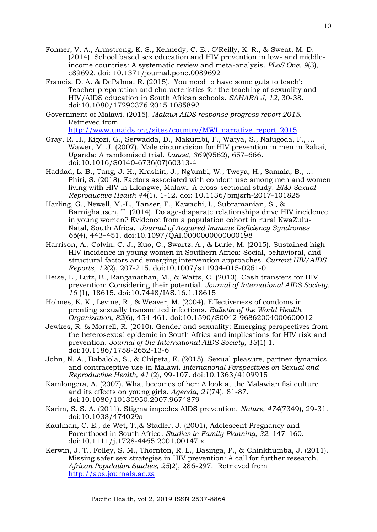- Fonner, V. A., Armstrong, K. S., Kennedy, C. E., O'Reilly, K. R., & Sweat, M. D. (2014). School based sex education and HIV prevention in low- and middleincome countries: A systematic review and meta-analysis. *PLoS One, 9*(3), e89692. doi: 10.1371/journal.pone.0089692
- Francis, D. A. & DePalma, R. (2015). 'You need to have some guts to teach': Teacher preparation and characteristics for the teaching of sexuality and HIV/AIDS education in South African schools. *SAHARA J, 12*, 30-38. doi:10.1080/17290376.2015.1085892
- Government of Malawi. (2015). *Malawi AIDS response progress report 2015.*  Retrieved from

[http://www.unaids.org/sites/country/MWI\\_narrative\\_report\\_2015](http://www.unaids.org/sites/country/MWI_narrative_report_2015)

- Gray, R. H., Kigozi, G., Serwadda, D., Makumbi, F., Watya, S., Nalugoda, F., … Wawer, M. J. (2007). Male circumcision for HIV prevention in men in Rakai, Uganda: A randomised trial. *Lancet, 369*(9562), 657–666. doi:10.1016/S0140-6736(07)60313-4
- Haddad, L. B., Tang, J. H., Krashin, J., Ng'ambi, W., Tweya, H., Samala, B., … Phiri, S. (2018). Factors associated with condom use among men and women living with HIV in Lilongwe, Malawi: A cross-sectional study. *BMJ Sexual Reproductive Health 44*(1), 1-12. doi: 10.1136/bmjsrh-2017-101825
- Harling, G., Newell, M.-L., Tanser, F., Kawachi, I., Subramanian, S., & Bärnighausen, T. (2014). Do age-disparate relationships drive HIV incidence in young women? Evidence from a population cohort in rural KwaZulu-Natal, South Africa. *Journal of Acquired Immune Deficiency Syndromes 66*(4), 443–451. doi:10.1097/QAI.0000000000000198
- Harrison, A., Colvin, C. J., Kuo, C., Swartz, A., & Lurie, M. (2015). Sustained high HIV incidence in young women in Southern Africa: Social, behavioral, and structural factors and emerging intervention approaches. *Current HIV/AIDS Reports*, *12*(2), 207-215. doi:10.1007/s11904-015-0261-0
- Heise, L., Lutz, B., Ranganathan, M., & Watts, C. (2013). Cash transfers for HIV prevention: Considering their potential. *Journal of International AIDS Society, 16* (1), 18615. doi:10.7448/IAS.16.1.18615
- Holmes, K. K., Levine, R., & Weaver, M. (2004). Effectiveness of condoms in prenting sexually transmitted infections. *Bulletin of the World Health Organization, 82*(6), 454-461. doi:10.1590/S0042-96862004000600012
- Jewkes, R. & Morrell, R. (2010). Gender and sexuality: Emerging perspectives from the heterosexual epidemic in South Africa and implications for HIV risk and prevention. *Journal of the International AIDS Society, 13*(1) 1. doi:10.1186/1758-2652-13-6
- John, N. A., Babalola, S., & Chipeta, E. (2015). Sexual pleasure, partner dynamics and contraceptive use in Malawi. *International Perspectives on Sexual and Reproductive Health, 41* (2), 99-107. doi:10.1363/4109915
- Kamlongera, A. (2007). What becomes of her: A look at the Malawian fisi culture and its effects on young girls. *Agenda, 21*(74), 81-87. doi:10.1080/10130950.2007.9674879
- Karim, S. S. A. (2011). Stigma impedes AIDS prevention. *Nature, 474*(7349), 29-31. doi:10.1038/474029a
- Kaufman, C. E., de Wet, T.,& Stadler, J. (2001), Adolescent Pregnancy and Parenthood in South Africa. *Studies in Family Planning, 32*: 147–160. doi:10.1111/j.1728-4465.2001.00147.x
- Kerwin, J. T., Folley, S. M., Thornton, R. L., Basinga, P., & Chinkhumba, J. (2011). Missing safer sex strategies in HIV prevention: A call for further research. *African Population Studies, 25*(2), 286-297. Retrieved from [http://aps.journals.ac.za](http://aps.journals.ac.za/)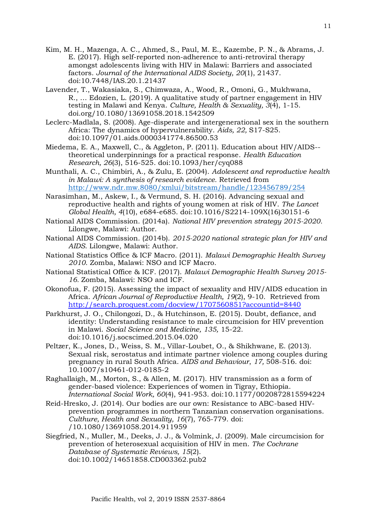- Kim, M. H., Mazenga, A. C., Ahmed, S., Paul, M. E., Kazembe, P. N., & Abrams, J. E. (2017). High self-reported non-adherence to anti-retroviral therapy amongst adolescents living with HIV in Malawi: Barriers and associated factors. *Journal of the International AIDS Society, 20*(1), 21437. doi:10.7448/IAS.20.1.21437
- Lavender, T., Wakasiaka, S., Chimwaza, A., Wood, R., Omoni, G., Mukhwana, R., … Edozien, L. (2019). A qualitative study of partner engagement in HIV testing in Malawi and Kenya. *Culture, Health & Sexuality, 3*(4), 1-15. doi.org/10.1080/13691058.2018.1542509

Leclerc-Madlala, S. (2008). Age-disperate and intergenerational sex in the southern Africa: The dynamics of hypervulnerability. *Aids, 22,* S17-S25. doi:10.1097/01.aids.0000341774.86500.53

Miedema, E. A., Maxwell, C., & Aggleton, P. (2011). Education about HIV/AIDS- theoretical underpinnings for a practical response. *Health Education Research, 26*(3), 516-525. doi:10.1093/her/cyq088

Munthali, A. C., Chimbiri, A., & Zulu, E. (2004). *Adolescent and reproductive health in Malawi: A synthesis of research evidence.* Retrieved from <http://www.ndr.mw.8080/xmlui/bitstream/handle/123456789/254>

Narasimhan, M., Askew, I., & Vermund, S. H. (2016). Advancing sexual and reproductive health and rights of young women at risk of HIV. *The Lancet Global Health, 4*(10), e684-e685. doi:10.1016/S2214-109X(16)30151-6

National AIDS Commission. (2014a). *National HIV prevention strategy 2015-2020.* Lilongwe, Malawi: Author.

- National AIDS Commission. (2014b). *2015-2020 national strategic plan for HIV and AIDS*. Lilongwe, Malawi: Author.
- National Statistics Office & ICF Macro. (2011). *Malawi Demographic Health Survey 2010*. Zomba, Malawi: NSO and ICF Macro.
- National Statistical Office & ICF. (2017). *Malawi Demographic Health Survey 2015- 16.* Zomba, Malawi: NSO and ICF.
- Okonofua, F. (2015). Assessing the impact of sexuality and HIV/AIDS education in Africa. *African Journal of Reproductive Health, 19*(2), 9-10. Retrieved from <http://search.proquest.com/docview/1707560851?accountid=8440>
- Parkhurst, J. O., Chilongozi, D., & Hutchinson, E. (2015). Doubt, defiance, and identity: Understanding resistance to male circumcision for HIV prevention in Malawi. *Social Science and Medicine, 135,* 15-22. doi:10.1016/j.socscimed.2015.04.020
- Peltzer, K., Jones, D., Weiss, S. M., Villar-Loubet, O., & Shikhwane, E. (2013). Sexual risk, serostatus and intimate partner violence among couples during pregnancy in rural South Africa. *AIDS and Behaviour*, *17,* 508-516. doi: 10.1007/s10461-012-0185-2

Raghallaigh, M., Morton, S., & Allen, M. (2017). HIV transmission as a form of gender-based violence: Experiences of women in Tigray, Ethiopia. *International Social Work, 60*(4), 941-953. doi:10.1177/0020872815594224

Reid-Hresko, J. (2014). Our bodies are our own: Resistance to ABC-based HIVprevention programmes in northern Tanzanian conservation organisations. *Culthure, Health and Sexuality, 16*(7), 765-779. doi: /10.1080/13691058.2014.911959

Siegfried, N., Muller, M., Deeks, J. J., & Volmink, J. (2009). Male circumcision for prevention of heterosexual acquisition of HIV in men. *The Cochrane Database of Systematic Reviews, 15*(2). doi:10.1002/14651858.CD003362.pub2